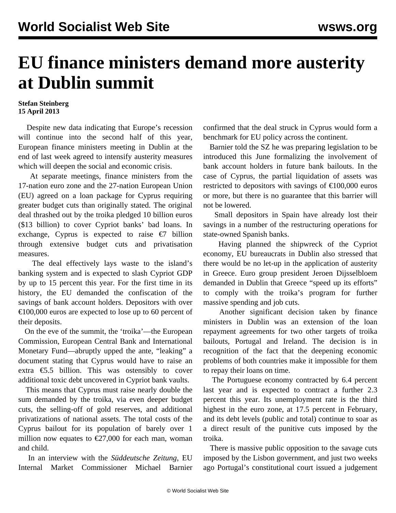## **EU finance ministers demand more austerity at Dublin summit**

## **Stefan Steinberg 15 April 2013**

 Despite new data indicating that Europe's recession will continue into the second half of this year, European finance ministers meeting in Dublin at the end of last week agreed to intensify austerity measures which will deepen the social and economic crisis.

 At separate meetings, finance ministers from the 17-nation euro zone and the 27-nation European Union (EU) agreed on a loan package for Cyprus requiring greater budget cuts than originally stated. The original deal thrashed out by the troika pledged 10 billion euros (\$13 billion) to cover Cypriot banks' bad loans. In exchange, Cyprus is expected to raise  $\epsilon$ 7 billion through extensive budget cuts and privatisation measures.

 The deal effectively lays waste to the island's banking system and is expected to slash Cypriot GDP by up to 15 percent this year. For the first time in its history, the EU demanded the confiscation of the savings of bank account holders. Depositors with over €100,000 euros are expected to lose up to 60 percent of their deposits.

 On the eve of the summit, the 'troika'—the European Commission, European Central Bank and International Monetary Fund—abruptly upped the ante, "leaking" a document stating that Cyprus would have to raise an extra €5.5 billion. This was ostensibly to cover additional toxic debt uncovered in Cypriot bank vaults.

 This means that Cyprus must raise nearly double the sum demanded by the troika, via even deeper budget cuts, the selling-off of gold reserves, and additional privatizations of national assets. The total costs of the Cyprus bailout for its population of barely over 1 million now equates to  $\epsilon$ 27,000 for each man, woman and child.

 In an interview with the *Süddeutsche Zeitung*, EU Internal Market Commissioner Michael Barnier confirmed that the deal struck in Cyprus would form a benchmark for EU policy across the continent.

 Barnier told the SZ he was preparing legislation to be introduced this June formalizing the involvement of bank account holders in future bank bailouts. In the case of Cyprus, the partial liquidation of assets was restricted to depositors with savings of  $\text{\textsterling}100,000$  euros or more, but there is no guarantee that this barrier will not be lowered.

 Small depositors in Spain have already lost their savings in a number of the restructuring operations for state-owned Spanish banks.

 Having planned the shipwreck of the Cypriot economy, EU bureaucrats in Dublin also stressed that there would be no let-up in the application of austerity in Greece. Euro group president Jeroen Dijsselbloem demanded in Dublin that Greece "speed up its efforts" to comply with the troika's program for further massive spending and job cuts.

 Another significant decision taken by finance ministers in Dublin was an extension of the loan repayment agreements for two other targets of troika bailouts, Portugal and Ireland. The decision is in recognition of the fact that the deepening economic problems of both countries make it impossible for them to repay their loans on time.

 The Portuguese economy contracted by 6.4 percent last year and is expected to contract a further 2.3 percent this year. Its unemployment rate is the third highest in the euro zone, at 17.5 percent in February, and its debt levels (public and total) continue to soar as a direct result of the punitive cuts imposed by the troika.

 There is massive public opposition to the savage cuts imposed by the Lisbon government, and just two weeks ago Portugal's constitutional court issued a judgement